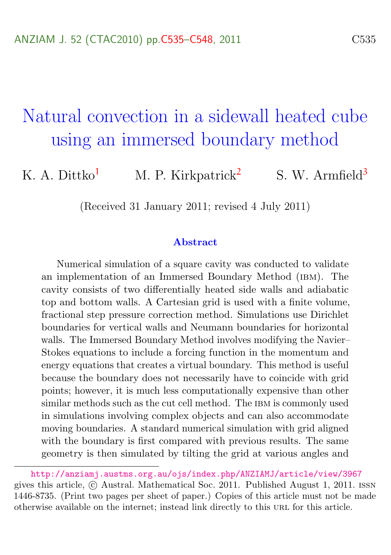# <span id="page-0-0"></span>Natural convection in a sidewall heated cube using an immersed boundary method

K. A. Dittko<sup>[1](#page-13-1)</sup> M. P. Kirkpatrick<sup>[2](#page-13-2)</sup> S. W. Armfield<sup>[3](#page-13-0)</sup>

(Received 31 January 2011; revised 4 July 2011)

#### Abstract

Numerical simulation of a square cavity was conducted to validate an implementation of an Immersed Boundary Method (ibm). The cavity consists of two differentially heated side walls and adiabatic top and bottom walls. A Cartesian grid is used with a finite volume, fractional step pressure correction method. Simulations use Dirichlet boundaries for vertical walls and Neumann boundaries for horizontal walls. The Immersed Boundary Method involves modifying the Navier– Stokes equations to include a forcing function in the momentum and energy equations that creates a virtual boundary. This method is useful because the boundary does not necessarily have to coincide with grid points; however, it is much less computationally expensive than other similar methods such as the cut cell method. The IBM is commonly used in simulations involving complex objects and can also accommodate moving boundaries. A standard numerical simulation with grid aligned with the boundary is first compared with previous results. The same geometry is then simulated by tilting the grid at various angles and

<http://anziamj.austms.org.au/ojs/index.php/ANZIAMJ/article/view/3967> gives this article, c Austral. Mathematical Soc. 2011. Published August 1, 2011. issn 1446-8735. (Print two pages per sheet of paper.) Copies of this article must not be made otherwise available on the internet; instead link directly to this url for this article.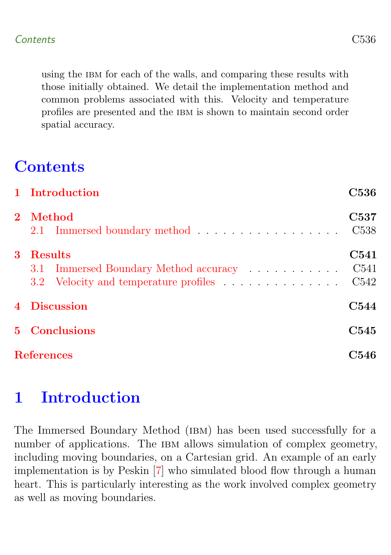<span id="page-1-1"></span>using the IBM for each of the walls, and comparing these results with those initially obtained. We detail the implementation method and common problems associated with this. Velocity and temperature profiles are presented and the IBM is shown to maintain second order spatial accuracy.

## **Contents**

|                   | 1 Introduction                                                                                   | C536                                         |
|-------------------|--------------------------------------------------------------------------------------------------|----------------------------------------------|
|                   | 2 Method                                                                                         | C <sub>537</sub><br>C <sub>538</sub>         |
| 3                 | <b>Results</b><br>3.1 Immersed Boundary Method accuracy<br>3.2 Velocity and temperature profiles | C541<br>C <sub>541</sub><br>C <sub>542</sub> |
|                   | 4 Discussion                                                                                     | C544                                         |
| 5 <sup>1</sup>    | <b>Conclusions</b>                                                                               | C545                                         |
| <b>References</b> |                                                                                                  | C546                                         |

## <span id="page-1-0"></span>1 Introduction

The Immersed Boundary Method (ibm) has been used successfully for a number of applications. The IBM allows simulation of complex geometry, including moving boundaries, on a Cartesian grid. An example of an early implementation is by Peskin [\[7\]](#page-12-0) who simulated blood flow through a human heart. This is particularly interesting as the work involved complex geometry as well as moving boundaries.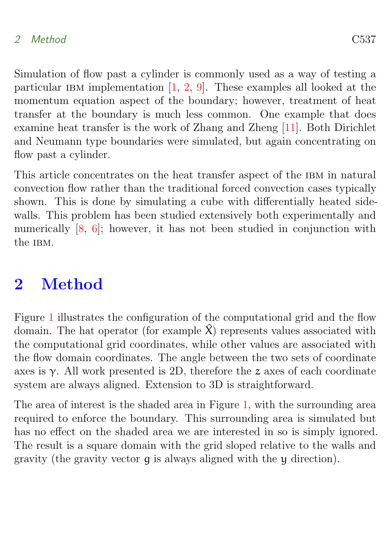#### <span id="page-2-2"></span>2 Method C537

Simulation of flow past a cylinder is commonly used as a way of testing a particular IBM implementation  $[1, 2, 9]$  $[1, 2, 9]$  $[1, 2, 9]$  $[1, 2, 9]$  $[1, 2, 9]$ . These examples all looked at the momentum equation aspect of the boundary; however, treatment of heat transfer at the boundary is much less common. One example that does examine heat transfer is the work of Zhang and Zheng [\[11\]](#page-13-3). Both Dirichlet and Neumann type boundaries were simulated, but again concentrating on flow past a cylinder.

This article concentrates on the heat transfer aspect of the IBM in natural convection flow rather than the traditional forced convection cases typically shown. This is done by simulating a cube with differentially heated sidewalls. This problem has been studied extensively both experimentally and numerically  $[8, 6]$  $[8, 6]$  $[8, 6]$ ; however, it has not been studied in conjunction with the IBM.

### <span id="page-2-0"></span>2 Method

Figure [1](#page-3-0) illustrates the configuration of the computational grid and the flow domain. The hat operator (for example  $\hat{\chi}$ ) represents values associated with the computational grid coordinates, while other values are associated with the flow domain coordinates. The angle between the two sets of coordinate axes is  $\gamma$ . All work presented is 2D, therefore the z axes of each coordinate system are always aligned. Extension to 3D is straightforward.

<span id="page-2-1"></span>The area of interest is the shaded area in Figure [1,](#page-3-0) with the surrounding area required to enforce the boundary. This surrounding area is simulated but has no effect on the shaded area we are interested in so is simply ignored. The result is a square domain with the grid sloped relative to the walls and gravity (the gravity vector g is always aligned with the y direction).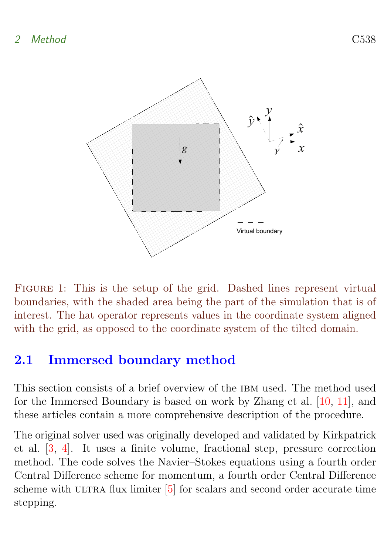<span id="page-3-1"></span>

<span id="page-3-0"></span>FIGURE 1: This is the setup of the grid. Dashed lines represent virtual boundaries, with the shaded area being the part of the simulation that is of interest. The hat operator represents values in the coordinate system aligned with the grid, as opposed to the coordinate system of the tilted domain.

### 2.1 Immersed boundary method

This section consists of a brief overview of the IBM used. The method used for the Immersed Boundary is based on work by Zhang et al. [\[10,](#page-12-4) [11\]](#page-13-3), and these articles contain a more comprehensive description of the procedure.

The original solver used was originally developed and validated by Kirkpatrick et al. [\[3,](#page-11-3) [4\]](#page-12-5). It uses a finite volume, fractional step, pressure correction method. The code solves the Navier–Stokes equations using a fourth order Central Difference scheme for momentum, a fourth order Central Difference scheme with ULTRA flux limiter  $[5]$  for scalars and second order accurate time stepping.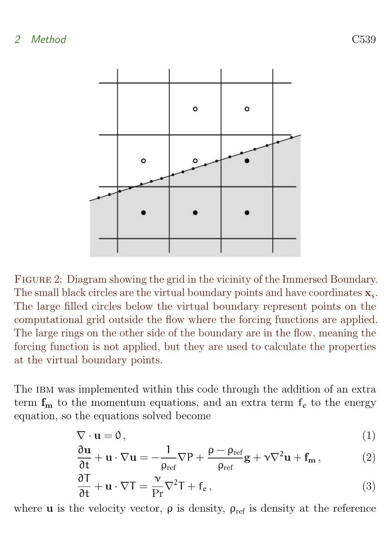

<span id="page-4-0"></span>Figure 2: Diagram showing the grid in the vicinity of the Immersed Boundary. The small black circles are the virtual boundary points and have coordinates  $x_s$ . The large filled circles below the virtual boundary represent points on the computational grid outside the flow where the forcing functions are applied. The large rings on the other side of the boundary are in the flow, meaning the forcing function is not applied, but they are used to calculate the properties at the virtual boundary points.

The IBM was implemented within this code through the addition of an extra term  $f_m$  to the momentum equations, and an extra term  $f_e$  to the energy equation, so the equations solved become

$$
\nabla \cdot \mathbf{u} = 0, \tag{1}
$$

$$
\frac{\partial \mathbf{u}}{\partial t} + \mathbf{u} \cdot \nabla \mathbf{u} = -\frac{1}{\rho_{ref}} \nabla P + \frac{\rho - \rho_{ref}}{\rho_{ref}} \mathbf{g} + \mathbf{v} \nabla^2 \mathbf{u} + \mathbf{f}_{\mathbf{m}} \,, \tag{2}
$$

$$
\frac{\partial T}{\partial t} + \mathbf{u} \cdot \nabla T = \frac{\nu}{\Pr} \nabla^2 T + f_e, \qquad (3)
$$

where **u** is the velocity vector,  $\rho$  is density,  $\rho_{ref}$  is density at the reference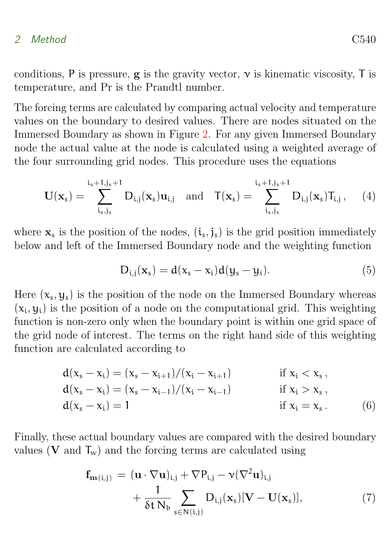#### 2 Method C540

conditions, P is pressure,  $g$  is the gravity vector,  $\nu$  is kinematic viscosity, T is temperature, and Pr is the Prandtl number.

The forcing terms are calculated by comparing actual velocity and temperature values on the boundary to desired values. There are nodes situated on the Immersed Boundary as shown in Figure [2.](#page-4-0) For any given Immersed Boundary node the actual value at the node is calculated using a weighted average of the four surrounding grid nodes. This procedure uses the equations

$$
\mathbf{U}(\mathbf{x}_s) = \sum_{i_s,j_s}^{i_s+1,j_s+1} D_{i,j}(\mathbf{x}_s) \mathbf{u}_{i,j} \quad \text{and} \quad \mathbf{T}(\mathbf{x}_s) = \sum_{i_s,j_s}^{i_s+1,j_s+1} D_{i,j}(\mathbf{x}_s) T_{i,j}, \quad (4)
$$

where  $\mathbf{x}_s$  is the position of the nodes,  $(i_s, j_s)$  is the grid position immediately below and left of the Immersed Boundary node and the weighting function

<span id="page-5-0"></span>
$$
D_{i,j}(\mathbf{x}_s) = d(x_s - x_i) d(y_s - y_i). \tag{5}
$$

Here  $(x_s, y_s)$  is the position of the node on the Immersed Boundary whereas  $(x_i, y_i)$  is the position of a node on the computational grid. This weighting function is non-zero only when the boundary point is within one grid space of the grid node of interest. The terms on the right hand side of this weighting function are calculated according to

$$
d(x_s - x_i) = (x_s - x_{i+1})/(x_i - x_{i+1})
$$
 if  $x_i < x_s$ ,  
\n
$$
d(x_s - x_i) = (x_s - x_{i-1})/(x_i - x_{i-1})
$$
 if  $x_i > x_s$ ,  
\n
$$
d(x_s - x_i) = 1
$$
 if  $x_i = x_s$ . (6)

Finally, these actual boundary values are compared with the desired boundary values (V and  $T_w$ ) and the forcing terms are calculated using

$$
\mathbf{f}_{\mathbf{m}(i,j)} = (\mathbf{u} \cdot \nabla \mathbf{u})_{i,j} + \nabla P_{i,j} - \nu (\nabla^2 \mathbf{u})_{i,j} \n+ \frac{1}{\delta t N_b} \sum_{s \in N(i,j)} D_{i,j}(\mathbf{x}_s) [\mathbf{V} - \mathbf{U}(\mathbf{x}_s)],
$$
\n(7)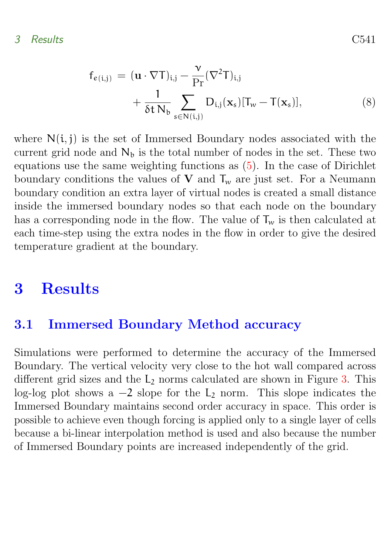3 Results C541

$$
f_{e(i,j)} = (\mathbf{u} \cdot \nabla T)_{i,j} - \frac{\nu}{\Pr} (\nabla^2 T)_{i,j} + \frac{1}{\delta t N_b} \sum_{s \in N(i,j)} D_{i,j}(\mathbf{x}_s) [T_w - T(\mathbf{x}_s)],
$$
\n(8)

where  $N(i, j)$  is the set of Immersed Boundary nodes associated with the current grid node and  $N<sub>b</sub>$  is the total number of nodes in the set. These two equations use the same weighting functions as [\(5\)](#page-5-0). In the case of Dirichlet boundary conditions the values of  $V$  and  $T_w$  are just set. For a Neumann boundary condition an extra layer of virtual nodes is created a small distance inside the immersed boundary nodes so that each node on the boundary has a corresponding node in the flow. The value of  $T_w$  is then calculated at each time-step using the extra nodes in the flow in order to give the desired temperature gradient at the boundary.

### <span id="page-6-0"></span>3 Results

#### <span id="page-6-1"></span>3.1 Immersed Boundary Method accuracy

<span id="page-6-2"></span>Simulations were performed to determine the accuracy of the Immersed Boundary. The vertical velocity very close to the hot wall compared across different grid sizes and the  $L_2$  norms calculated are shown in Figure [3.](#page-7-0) This log-log plot shows a  $-2$  slope for the  $L_2$  norm. This slope indicates the Immersed Boundary maintains second order accuracy in space. This order is possible to achieve even though forcing is applied only to a single layer of cells because a bi-linear interpolation method is used and also because the number of Immersed Boundary points are increased independently of the grid.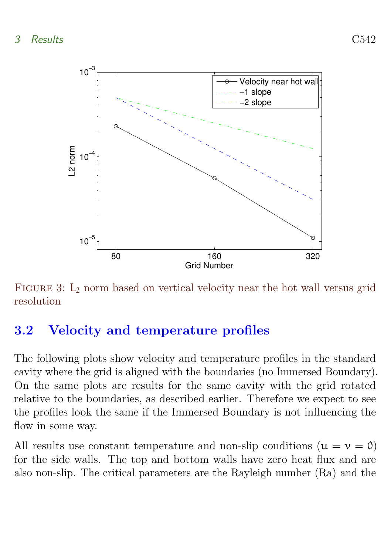

<span id="page-7-0"></span>FIGURE 3: L<sub>2</sub> norm based on vertical velocity near the hot wall versus grid resolution

### 3.2 Velocity and temperature profiles

The following plots show velocity and temperature profiles in the standard cavity where the grid is aligned with the boundaries (no Immersed Boundary). On the same plots are results for the same cavity with the grid rotated relative to the boundaries, as described earlier. Therefore we expect to see the profiles look the same if the Immersed Boundary is not influencing the flow in some way.

All results use constant temperature and non-slip conditions  $(u = v = 0)$ for the side walls. The top and bottom walls have zero heat flux and are also non-slip. The critical parameters are the Rayleigh number (Ra) and the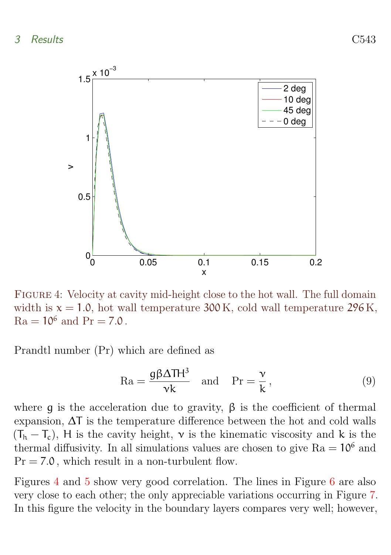

<span id="page-8-0"></span>Figure 4: Velocity at cavity mid-height close to the hot wall. The full domain width is  $x = 1.0$ , hot wall temperature 300 K, cold wall temperature 296 K,  $Ra = 10^6$  and  $Pr = 7.0$ .

Prandtl number (Pr) which are defined as

$$
\text{Ra} = \frac{\text{g}\beta\Delta\text{TH}^3}{\nu k} \quad \text{and} \quad \text{Pr} = \frac{\nu}{k},\tag{9}
$$

where q is the acceleration due to gravity,  $\beta$  is the coefficient of thermal expansion, ∆T is the temperature difference between the hot and cold walls  $(T_h - T_c)$ , H is the cavity height,  $\nu$  is the kinematic viscosity and k is the thermal diffusivity. In all simulations values are chosen to give  $Ra = 10^6$  and  $Pr = 7.0$ , which result in a non-turbulent flow.

Figures [4](#page-8-0) and [5](#page-9-1) show very good correlation. The lines in Figure [6](#page-10-1) are also very close to each other; the only appreciable variations occurring in Figure [7.](#page-11-4) In this figure the velocity in the boundary layers compares very well; however,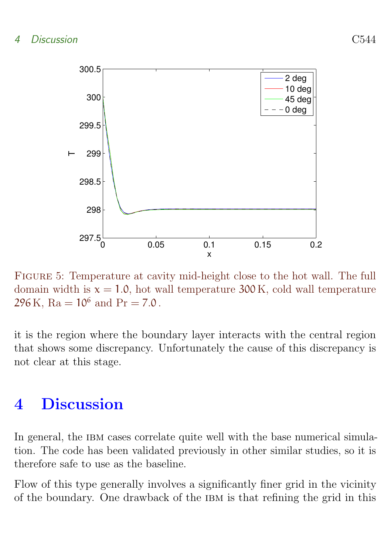

<span id="page-9-1"></span>Figure 5: Temperature at cavity mid-height close to the hot wall. The full domain width is  $x = 1.0$ , hot wall temperature 300 K, cold wall temperature 296 K,  $Ra = 10^6$  and  $Pr = 7.0$ .

it is the region where the boundary layer interacts with the central region that shows some discrepancy. Unfortunately the cause of this discrepancy is not clear at this stage.

## <span id="page-9-0"></span>4 Discussion

In general, the IBM cases correlate quite well with the base numerical simulation. The code has been validated previously in other similar studies, so it is therefore safe to use as the baseline.

Flow of this type generally involves a significantly finer grid in the vicinity of the boundary. One drawback of the IBM is that refining the grid in this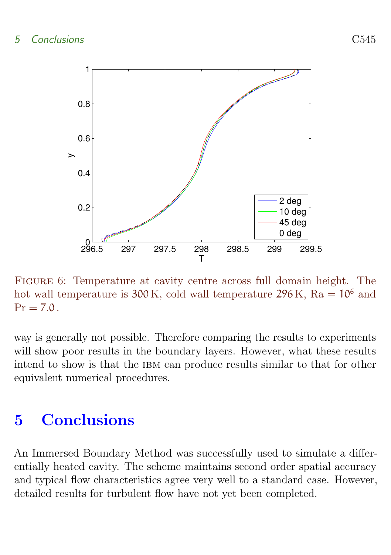

<span id="page-10-1"></span>Figure 6: Temperature at cavity centre across full domain height. The hot wall temperature is  $300 \text{ K}$ , cold wall temperature  $296 \text{ K}$ , Ra =  $10^6$  and  $Pr = 7.0$ .

way is generally not possible. Therefore comparing the results to experiments will show poor results in the boundary layers. However, what these results intend to show is that the IBM can produce results similar to that for other equivalent numerical procedures.

## <span id="page-10-0"></span>5 Conclusions

An Immersed Boundary Method was successfully used to simulate a differentially heated cavity. The scheme maintains second order spatial accuracy and typical flow characteristics agree very well to a standard case. However, detailed results for turbulent flow have not yet been completed.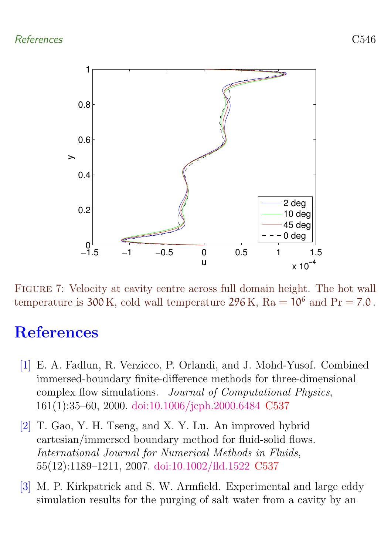#### References C546



<span id="page-11-4"></span>Figure 7: Velocity at cavity centre across full domain height. The hot wall temperature is 300 K, cold wall temperature 296 K,  $Ra = 10^6$  and  $Pr = 7.0$ .

## <span id="page-11-0"></span>References

- <span id="page-11-1"></span>[1] E. A. Fadlun, R. Verzicco, P. Orlandi, and J. Mohd-Yusof. Combined immersed-boundary finite-difference methods for three-dimensional complex flow simulations. Journal of Computational Physics, 161(1):35–60, 2000. [doi:10.1006/jcph.2000.6484](http://dx.doi.org/10.1006/jcph.2000.6484) [C537](#page-2-2)
- <span id="page-11-2"></span>[2] T. Gao, Y. H. Tseng, and X. Y. Lu. An improved hybrid cartesian/immersed boundary method for fluid-solid flows. International Journal for Numerical Methods in Fluids, 55(12):1189–1211, 2007. [doi:10.1002/fld.1522](http://dx.doi.org/10.1002/fld.1522) [C537](#page-2-2)
- <span id="page-11-3"></span>[3] M. P. Kirkpatrick and S. W. Armfield. Experimental and large eddy simulation results for the purging of salt water from a cavity by an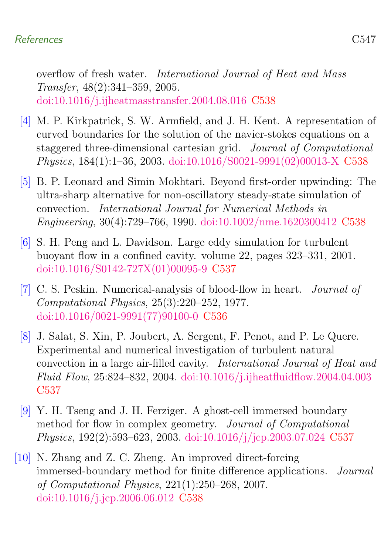#### References C547

overflow of fresh water. International Journal of Heat and Mass Transfer, 48(2):341–359, 2005. [doi:10.1016/j.ijheatmasstransfer.2004.08.016](http://dx.doi.org/10.1016/j.ijheatmasstransfer.2004.08.016) [C538](#page-3-1)

- <span id="page-12-5"></span>[4] M. P. Kirkpatrick, S. W. Armfield, and J. H. Kent. A representation of curved boundaries for the solution of the navier-stokes equations on a staggered three-dimensional cartesian grid. Journal of Computational Physics, 184(1):1–36, 2003. [doi:10.1016/S0021-9991\(02\)00013-X](http://dx.doi.org/10.1016/S0021-9991(02)00013-X) [C538](#page-3-1)
- <span id="page-12-6"></span>[5] B. P. Leonard and Simin Mokhtari. Beyond first-order upwinding: The ultra-sharp alternative for non-oscillatory steady-state simulation of convection. International Journal for Numerical Methods in Engineering, 30(4):729–766, 1990. [doi:10.1002/nme.1620300412](http://dx.doi.org/10.1002/nme.1620300412) [C538](#page-3-1)
- <span id="page-12-3"></span>[6] S. H. Peng and L. Davidson. Large eddy simulation for turbulent buoyant flow in a confined cavity. volume 22, pages 323–331, 2001. [doi:10.1016/S0142-727X\(01\)00095-9](http://dx.doi.org/10.1016/S0142-727X(01)00095-9) [C537](#page-2-2)
- <span id="page-12-0"></span>[7] C. S. Peskin. Numerical-analysis of blood-flow in heart. Journal of Computational Physics, 25(3):220–252, 1977. [doi:10.1016/0021-9991\(77\)90100-0](http://dx.doi.org/10.1016/0021-9991(77)90100-0) [C536](#page-1-1)
- <span id="page-12-2"></span>[8] J. Salat, S. Xin, P. Joubert, A. Sergent, F. Penot, and P. Le Quere. Experimental and numerical investigation of turbulent natural convection in a large air-filled cavity. International Journal of Heat and Fluid Flow, 25:824–832, 2004. [doi:10.1016/j.ijheatfluidflow.2004.04.003](http://dx.doi.org/10.1016/j.ijheatfluidflow.2004.04.003) [C537](#page-2-2)
- <span id="page-12-1"></span>[9] Y. H. Tseng and J. H. Ferziger. A ghost-cell immersed boundary method for flow in complex geometry. Journal of Computational Physics, 192(2):593–623, 2003. [doi:10.1016/j/jcp.2003.07.024](http://dx.doi.org/10.1016/j/jcp.2003.07.024) [C537](#page-2-2)
- <span id="page-12-4"></span>[10] N. Zhang and Z. C. Zheng. An improved direct-forcing immersed-boundary method for finite difference applications. Journal of Computational Physics, 221(1):250–268, 2007. [doi:10.1016/j.jcp.2006.06.012](http://dx.doi.org/10.1016/j.jcp.2006.06.012) [C538](#page-3-1)